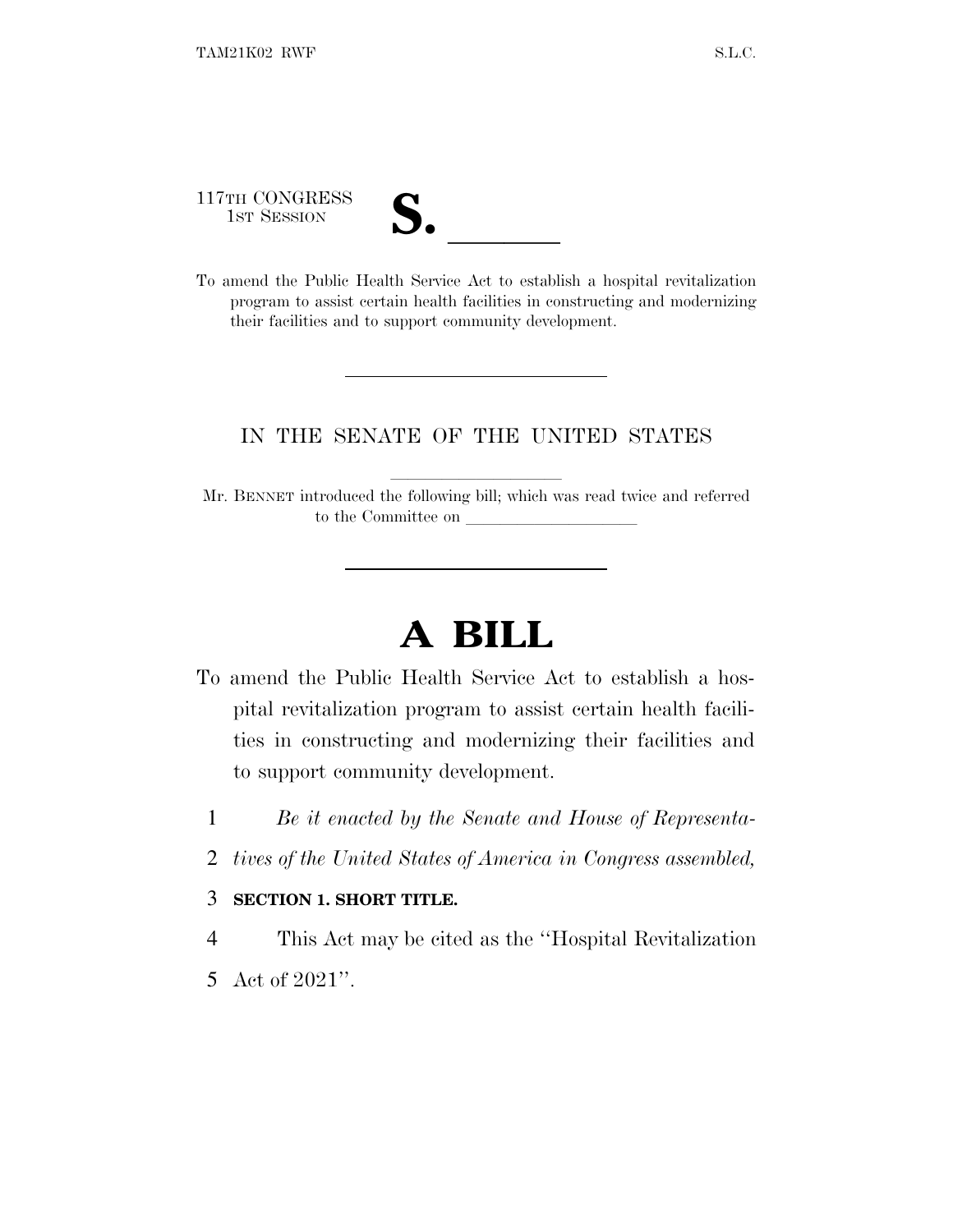117TH CONGRESS

| $\blacksquare$           |  |
|--------------------------|--|
| $\overline{\mathcal{U}}$ |  |

117TH CONGRESS<br>
1ST SESSION<br>
To amend the Public Health Service Act to establish a hospital revitalization program to assist certain health facilities in constructing and modernizing their facilities and to support community development.

## IN THE SENATE OF THE UNITED STATES

Mr. BENNET introduced the following bill; which was read twice and referred to the Committee on

# **A BILL**

- To amend the Public Health Service Act to establish a hospital revitalization program to assist certain health facilities in constructing and modernizing their facilities and to support community development.
	- 1 *Be it enacted by the Senate and House of Representa-*
	- 2 *tives of the United States of America in Congress assembled,*

#### 3 **SECTION 1. SHORT TITLE.**

4 This Act may be cited as the ''Hospital Revitalization

5 Act of 2021''.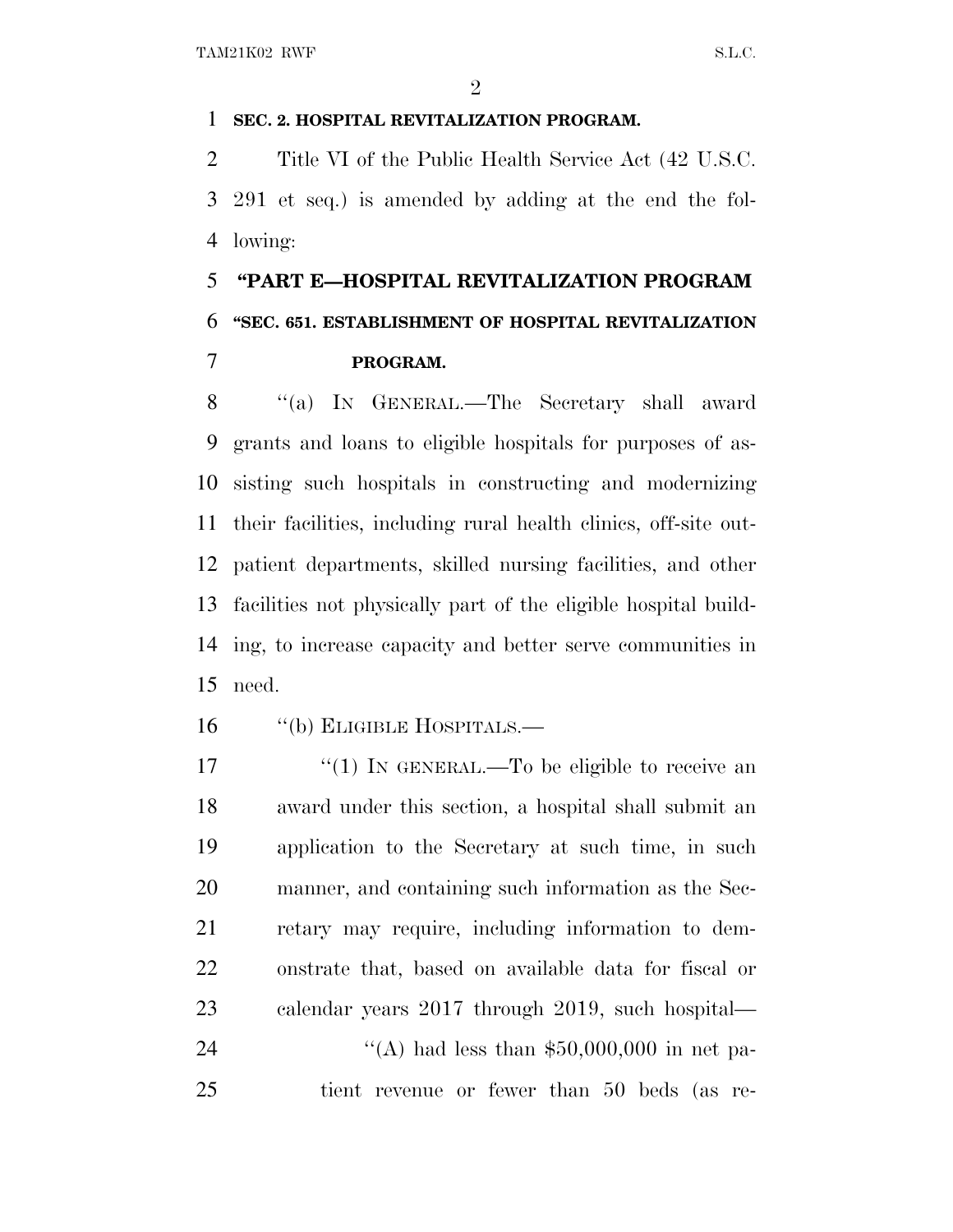### **SEC. 2. HOSPITAL REVITALIZATION PROGRAM.**

 Title VI of the Public Health Service Act (42 U.S.C. 291 et seq.) is amended by adding at the end the fol-lowing:

# **''PART E—HOSPITAL REVITALIZATION PROGRAM ''SEC. 651. ESTABLISHMENT OF HOSPITAL REVITALIZATION PROGRAM.**

 ''(a) I<sup>N</sup> GENERAL.—The Secretary shall award grants and loans to eligible hospitals for purposes of as- sisting such hospitals in constructing and modernizing their facilities, including rural health clinics, off-site out- patient departments, skilled nursing facilities, and other facilities not physically part of the eligible hospital build- ing, to increase capacity and better serve communities in need.

16 "(b) ELIGIBLE HOSPITALS.—

 $\frac{17}{2}$   $\frac{17}{2}$  IN GENERAL.—To be eligible to receive an award under this section, a hospital shall submit an application to the Secretary at such time, in such manner, and containing such information as the Sec- retary may require, including information to dem- onstrate that, based on available data for fiscal or calendar years 2017 through 2019, such hospital—  $\frac{4}{(A)}$  had less than \$50,000,000 in net pa-tient revenue or fewer than 50 beds (as re-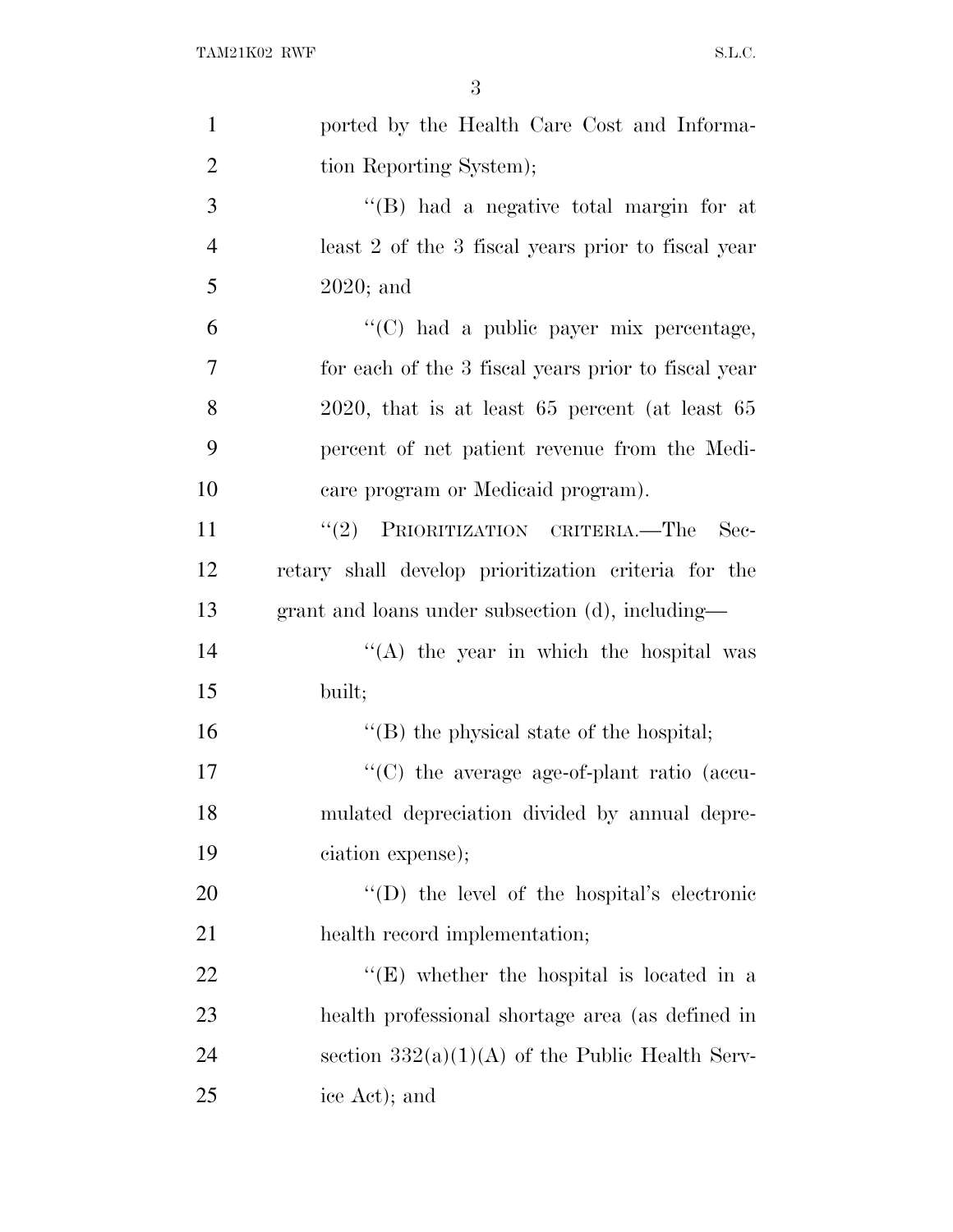| $\mathbf{1}$   | ported by the Health Care Cost and Informa-          |
|----------------|------------------------------------------------------|
| $\overline{2}$ | tion Reporting System);                              |
| 3              | "(B) had a negative total margin for at              |
| $\overline{4}$ | least 2 of the 3 fiscal years prior to fiscal year   |
| 5              | $2020$ ; and                                         |
| 6              | "(C) had a public payer mix percentage,              |
| 7              | for each of the 3 fiscal years prior to fiscal year  |
| 8              | $2020$ , that is at least 65 percent (at least 65    |
| 9              | percent of net patient revenue from the Medi-        |
| 10             | care program or Medicaid program).                   |
| 11             | "(2) PRIORITIZATION CRITERIA.—The<br>- Sec-          |
| 12             | retary shall develop prioritization criteria for the |
| 13             | grant and loans under subsection (d), including—     |
| 14             | $\lq\lq$ the year in which the hospital was          |
| 15             | built;                                               |
| 16             | $\lq\lq$ the physical state of the hospital;         |
| 17             | "(C) the average age-of-plant ratio (accu-           |
| 18             | mulated depreciation divided by annual depre-        |
| 19             | ciation expense);                                    |
| 20             | "(D) the level of the hospital's electronic          |
| 21             | health record implementation;                        |
| 22             | "(E) whether the hospital is located in a            |
| 23             | health professional shortage area (as defined in     |
| 24             | section $332(a)(1)(A)$ of the Public Health Serv-    |
| 25             | ice Act); and                                        |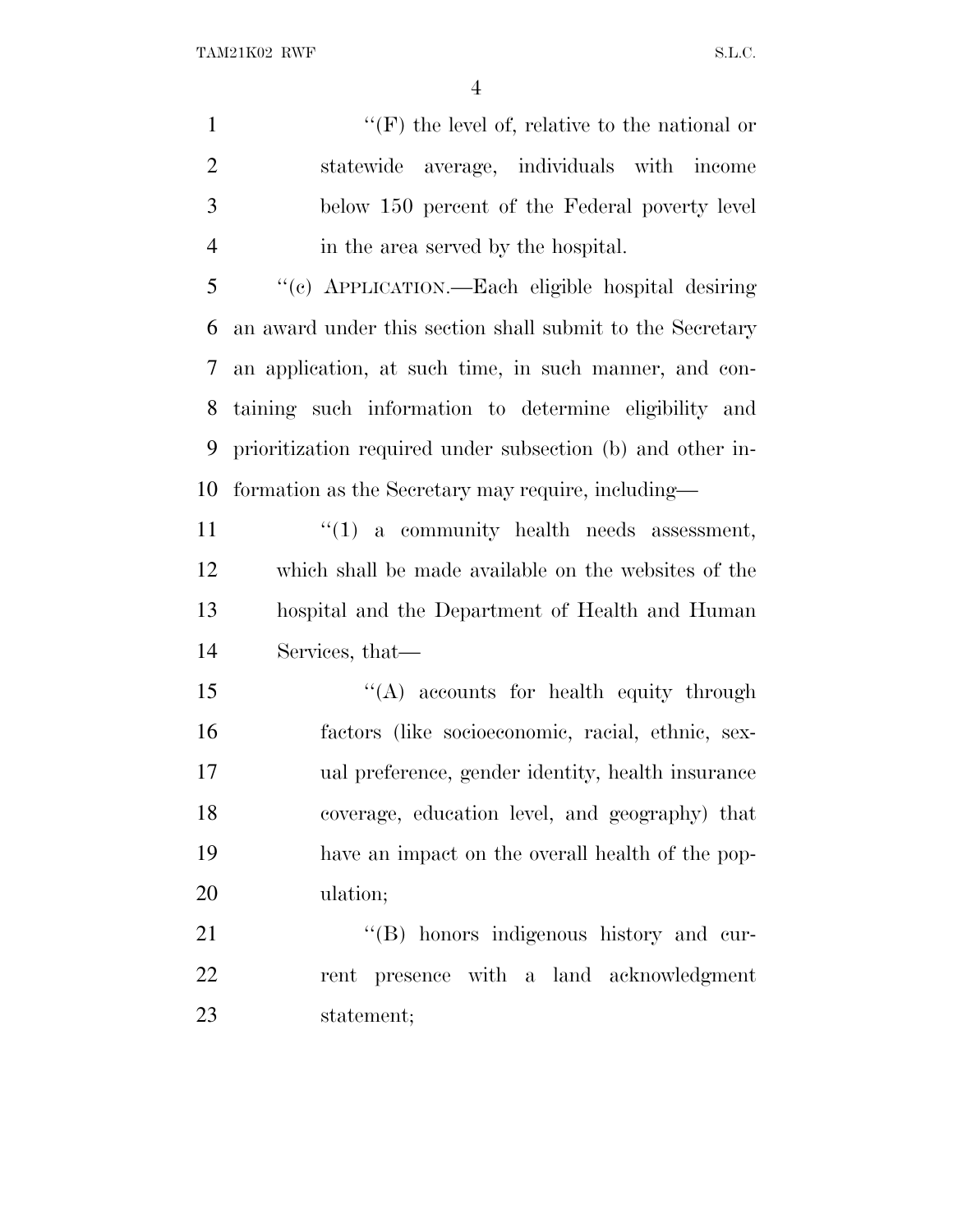1 ''(F) the level of, relative to the national or statewide average, individuals with income below 150 percent of the Federal poverty level in the area served by the hospital.

 ''(c) APPLICATION.—Each eligible hospital desiring an award under this section shall submit to the Secretary an application, at such time, in such manner, and con- taining such information to determine eligibility and prioritization required under subsection (b) and other in-formation as the Secretary may require, including—

11 ''(1) a community health needs assessment, which shall be made available on the websites of the hospital and the Department of Health and Human Services, that—

15 "(A) accounts for health equity through factors (like socioeconomic, racial, ethnic, sex- ual preference, gender identity, health insurance coverage, education level, and geography) that have an impact on the overall health of the pop-ulation;

21 "'(B) honors indigenous history and cur- rent presence with a land acknowledgment statement;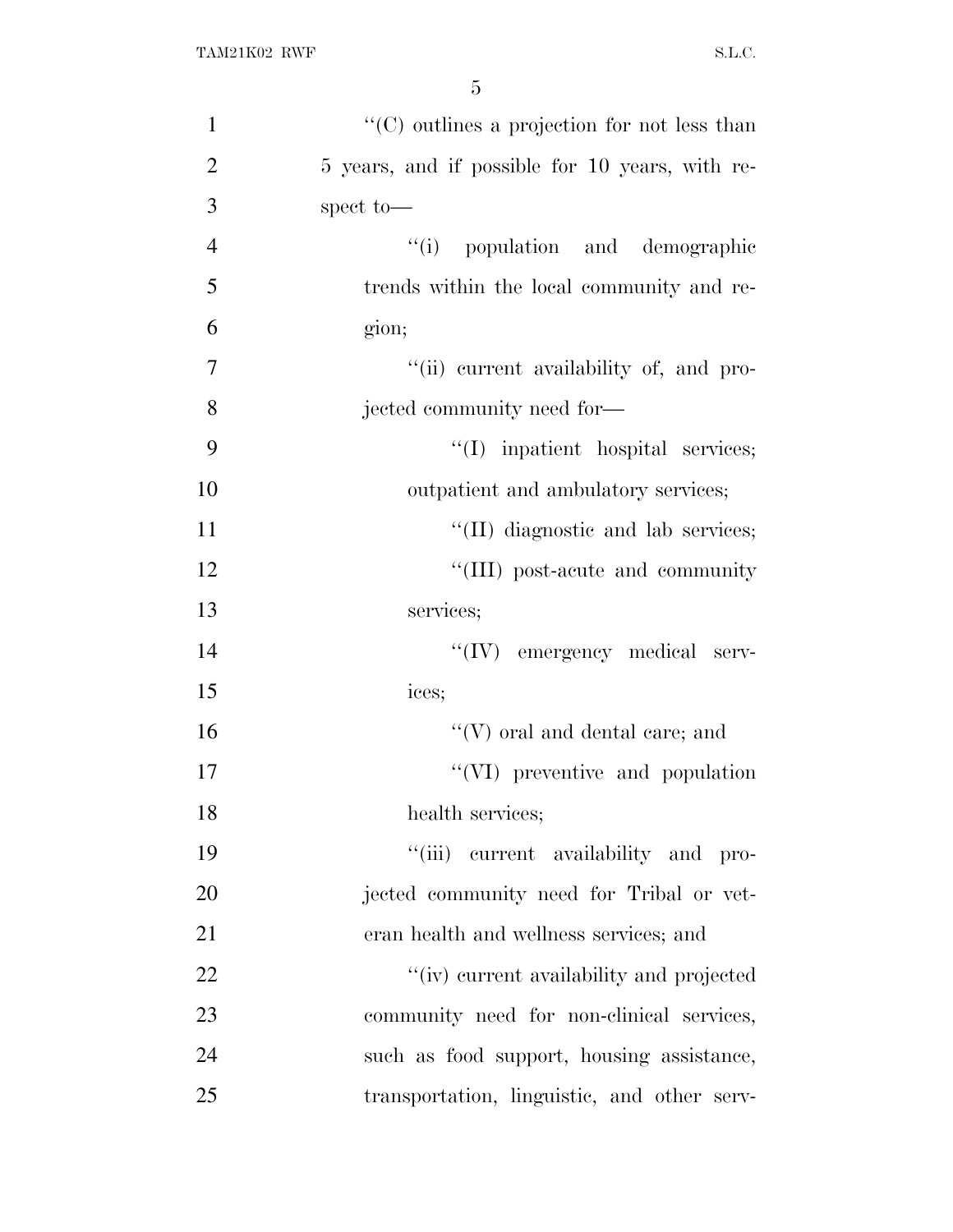| $\mathbf{1}$   | $\lq\lq$ continuous a projection for not less than |
|----------------|----------------------------------------------------|
| $\overline{2}$ | 5 years, and if possible for 10 years, with re-    |
| 3              | spect to-                                          |
| $\overline{4}$ | "(i) population and demographic                    |
| 5              | trends within the local community and re-          |
| 6              | gion;                                              |
| 7              | "(ii) current availability of, and pro-            |
| 8              | jected community need for-                         |
| 9              | "(I) inpatient hospital services;                  |
| 10             | outpatient and ambulatory services;                |
| 11             | "(II) diagnostic and lab services;                 |
| 12             | "(III) post-acute and community                    |
| 13             | services;                                          |
| 14             | "(IV) emergency medical serv-                      |
| 15             | ices;                                              |
| 16             | $\lq\lq(V)$ oral and dental care; and              |
| 17             | "(VI) preventive and population                    |
| 18             | health services;                                   |
| 19             | "(iii) current availability and pro-               |
| 20             | jected community need for Tribal or vet-           |
| 21             | eran health and wellness services; and             |
| 22             | "(iv) current availability and projected           |
| 23             | community need for non-clinical services,          |
| 24             | such as food support, housing assistance,          |
| 25             | transportation, linguistic, and other serv-        |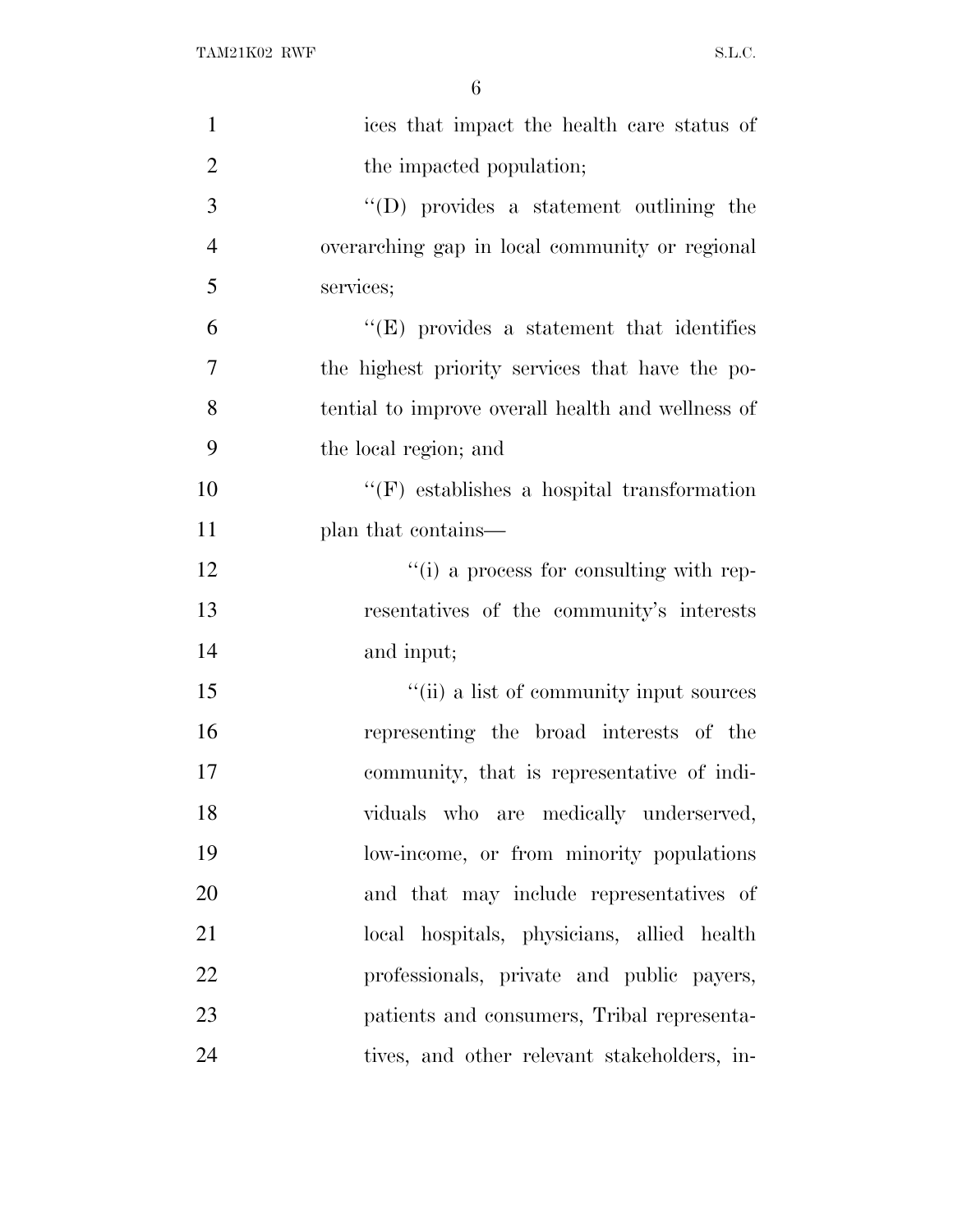| $\mathbf{1}$   | ices that impact the health care status of        |
|----------------|---------------------------------------------------|
| $\overline{2}$ | the impacted population;                          |
| 3              | $\lq\lq$ provides a statement outlining the       |
| $\overline{4}$ | overarching gap in local community or regional    |
| 5              | services;                                         |
| 6              | $\lq\lq(E)$ provides a statement that identifies  |
| 7              | the highest priority services that have the po-   |
| 8              | tential to improve overall health and wellness of |
| 9              | the local region; and                             |
| 10             | $\lq\lq(F)$ establishes a hospital transformation |
| 11             | plan that contains—                               |
| 12             | "(i) a process for consulting with rep-           |
| 13             | resentatives of the community's interests         |
| 14             | and input;                                        |
| 15             | "(ii) a list of community input sources           |
| 16             | representing the broad interests of the           |
| 17             | community, that is representative of indi-        |
| 18             | viduals who are medically underserved,            |
| 19             | low-income, or from minority populations          |
| 20             | and that may include representatives of           |
| 21             | local hospitals, physicians, allied health        |
| 22             | professionals, private and public payers,         |
| 23             | patients and consumers, Tribal representa-        |
| 24             | tives, and other relevant stakeholders, in-       |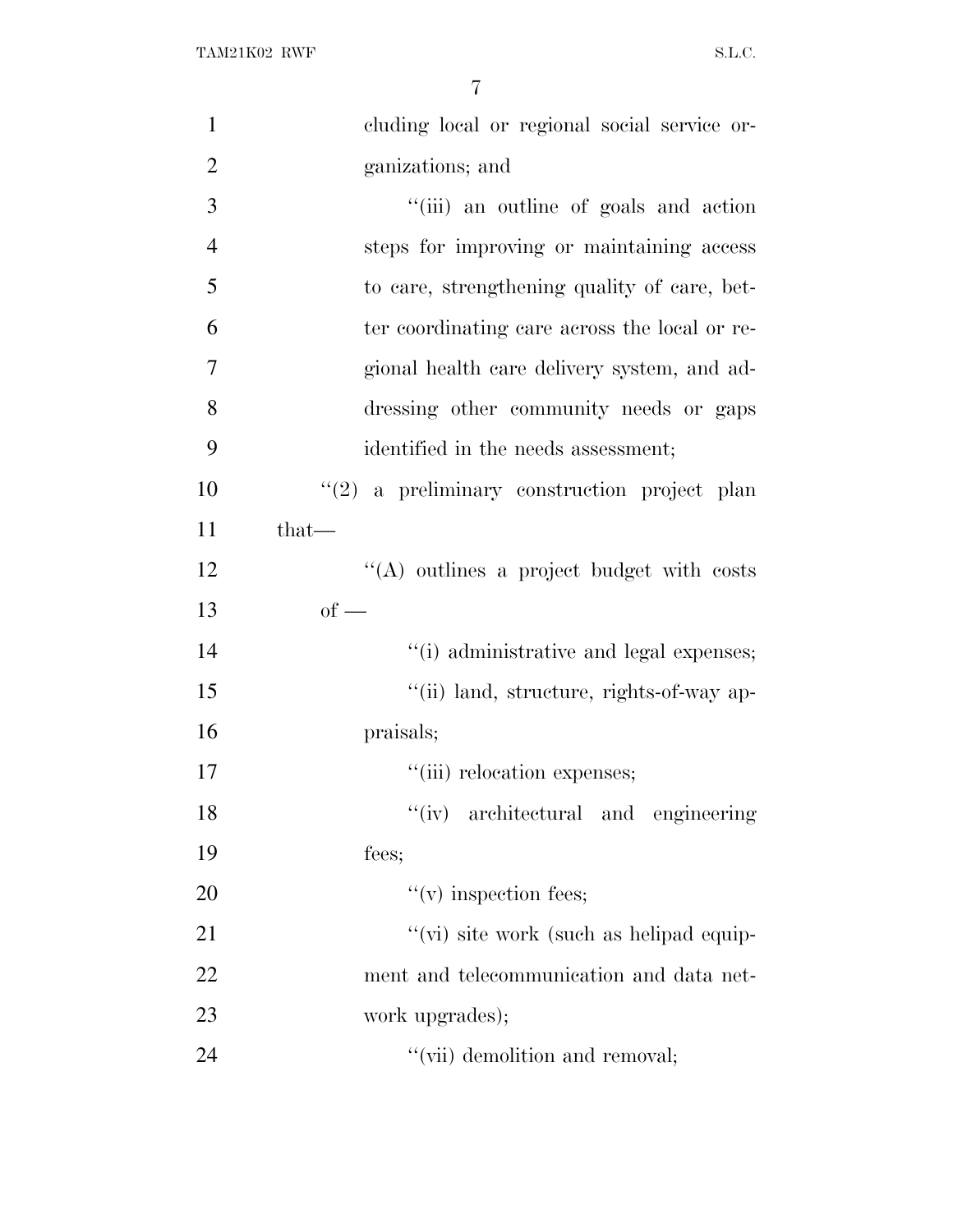| $\mathbf{1}$   | cluding local or regional social service or-  |
|----------------|-----------------------------------------------|
| $\overline{2}$ | ganizations; and                              |
| 3              | "(iii) an outline of goals and action         |
| $\overline{4}$ | steps for improving or maintaining access     |
| 5              | to care, strengthening quality of care, bet-  |
| 6              | ter coordinating care across the local or re- |
| 7              | gional health care delivery system, and ad-   |
| 8              | dressing other community needs or gaps        |
| 9              | identified in the needs assessment;           |
| 10             | $(2)$ a preliminary construction project plan |
| 11             | $that-$                                       |
| 12             | $\lq\lq$ outlines a project budget with costs |
| 13             | $of -$                                        |
| 14             | "(i) administrative and legal expenses;       |
| 15             | "(ii) land, structure, rights-of-way ap-      |
| 16             | praisals;                                     |
| 17             | "(iii) relocation expenses;                   |
| 18             | "(iv) architectural and engineering           |
| 19             | fees;                                         |
| 20             | $f'(v)$ inspection fees;                      |
| 21             | "(vi) site work (such as helipad equip-       |
| 22             | ment and telecommunication and data net-      |
| 23             | work upgrades);                               |
| 24             | "(vii) demolition and removal;                |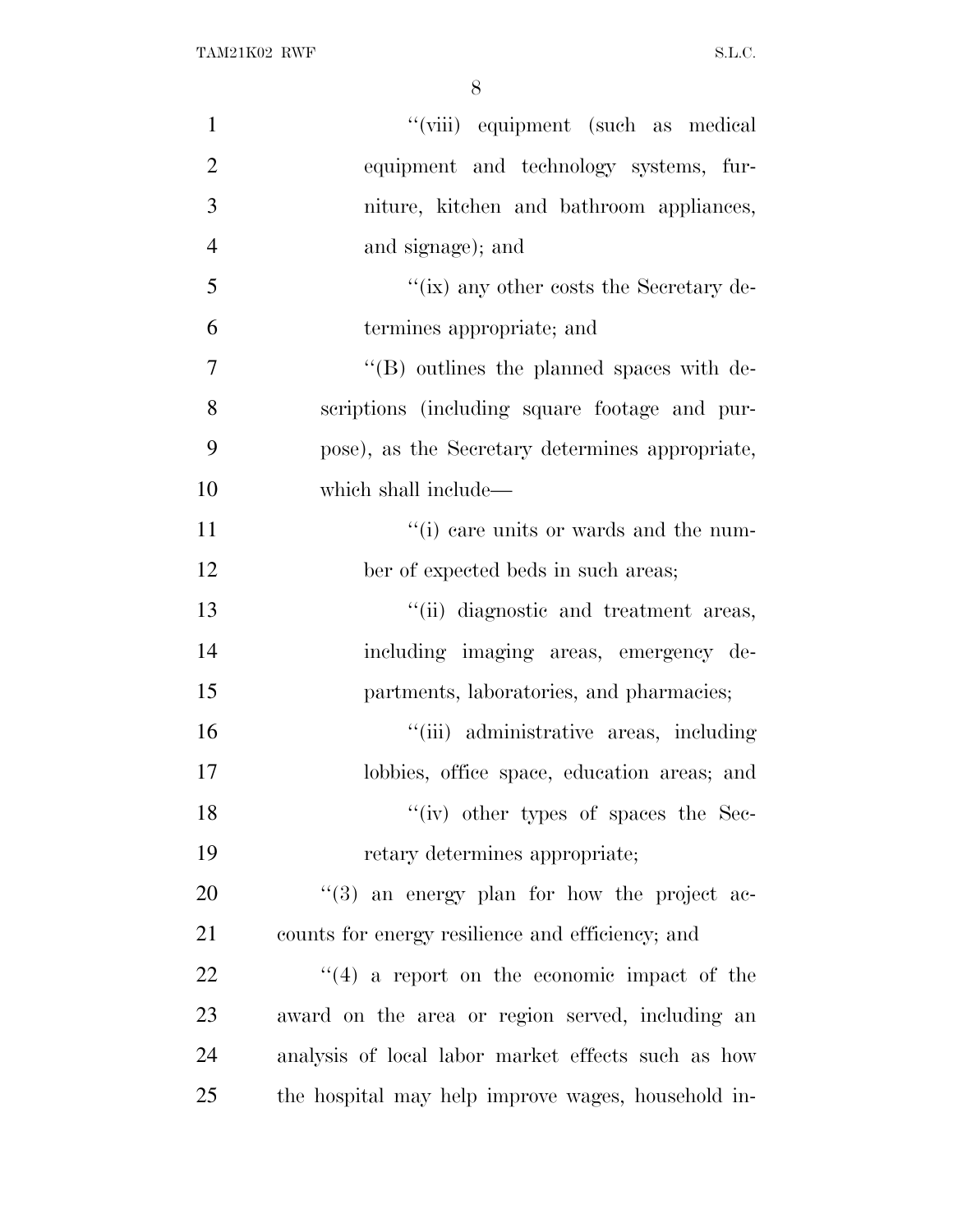| $\mathbf{1}$   | "(viii) equipment (such as medical                 |
|----------------|----------------------------------------------------|
| $\overline{2}$ | equipment and technology systems, fur-             |
| 3              | niture, kitchen and bathroom appliances,           |
| $\overline{4}$ | and signage); and                                  |
| 5              | "(ix) any other costs the Secretary de-            |
| 6              | termines appropriate; and                          |
| $\overline{7}$ | $\lq\lq$ (B) outlines the planned spaces with de-  |
| 8              | scriptions (including square footage and pur-      |
| 9              | pose), as the Secretary determines appropriate,    |
| 10             | which shall include—                               |
| 11             | "(i) care units or wards and the num-              |
| 12             | ber of expected beds in such areas;                |
| 13             | "(ii) diagnostic and treatment areas,              |
| 14             | including imaging areas, emergency de-             |
| 15             | partments, laboratories, and pharmacies;           |
| 16             | "(iii) administrative areas, including             |
| 17             | lobbies, office space, education areas; and        |
| 18             | "(iv) other types of spaces the Sec-               |
| 19             | retary determines appropriate;                     |
| 20             | $\lq(3)$ an energy plan for how the project ac-    |
| 21             | counts for energy resilience and efficiency; and   |
| 22             | $\lq(4)$ a report on the economic impact of the    |
| 23             | award on the area or region served, including an   |
| 24             | analysis of local labor market effects such as how |
| 25             | the hospital may help improve wages, household in- |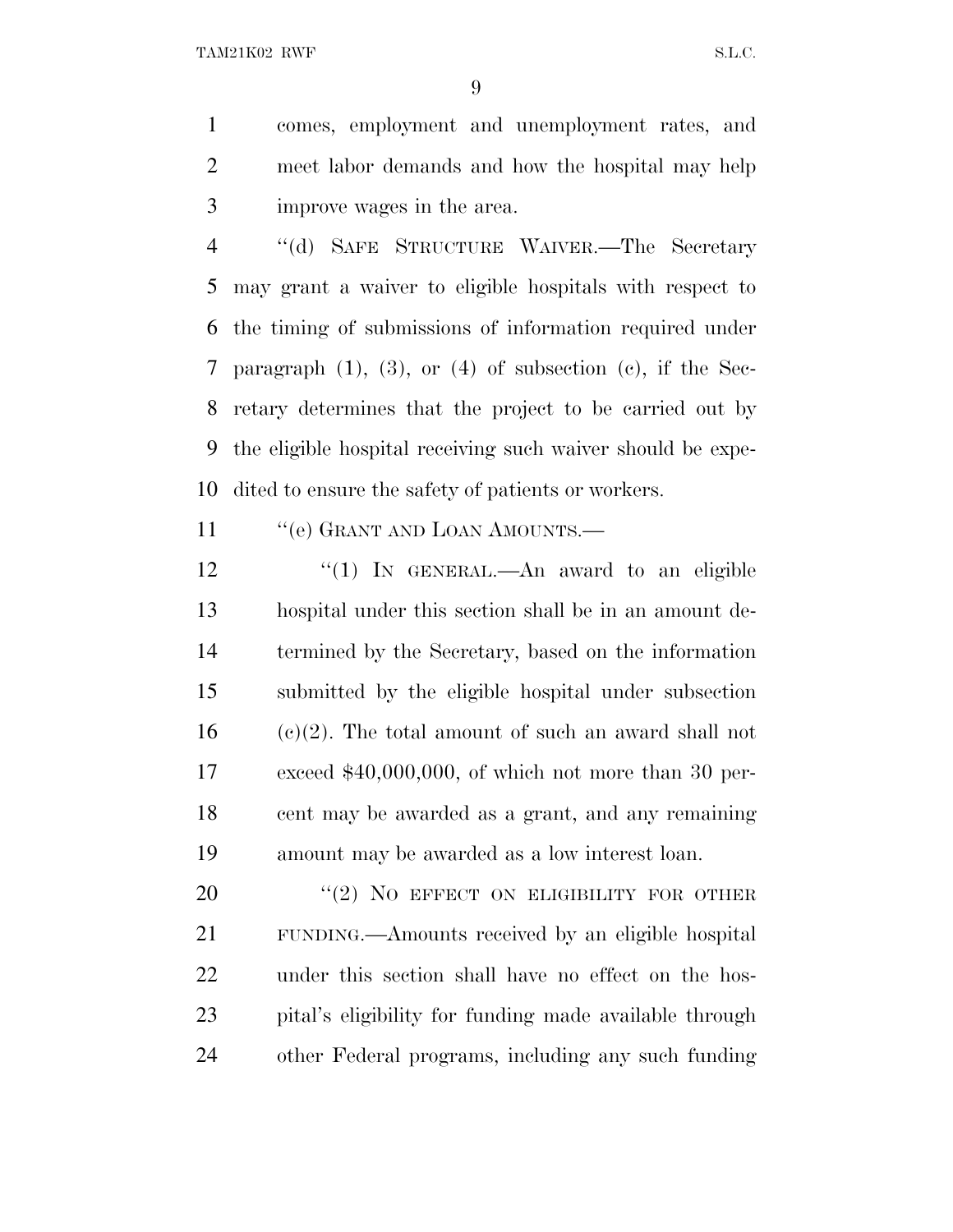TAM21K02 RWF S.L.C.

 comes, employment and unemployment rates, and meet labor demands and how the hospital may help improve wages in the area.

 ''(d) SAFE STRUCTURE WAIVER.—The Secretary may grant a waiver to eligible hospitals with respect to the timing of submissions of information required under paragraph (1), (3), or (4) of subsection (c), if the Sec- retary determines that the project to be carried out by the eligible hospital receiving such waiver should be expe-dited to ensure the safety of patients or workers.

11 "'(e) GRANT AND LOAN AMOUNTS.—

12 "(1) In GENERAL.—An award to an eligible hospital under this section shall be in an amount de- termined by the Secretary, based on the information submitted by the eligible hospital under subsection (e)(2). The total amount of such an award shall not exceed \$40,000,000, of which not more than 30 per- cent may be awarded as a grant, and any remaining amount may be awarded as a low interest loan.

20 "(2) NO EFFECT ON ELIGIBILITY FOR OTHER FUNDING.—Amounts received by an eligible hospital under this section shall have no effect on the hos- pital's eligibility for funding made available through other Federal programs, including any such funding